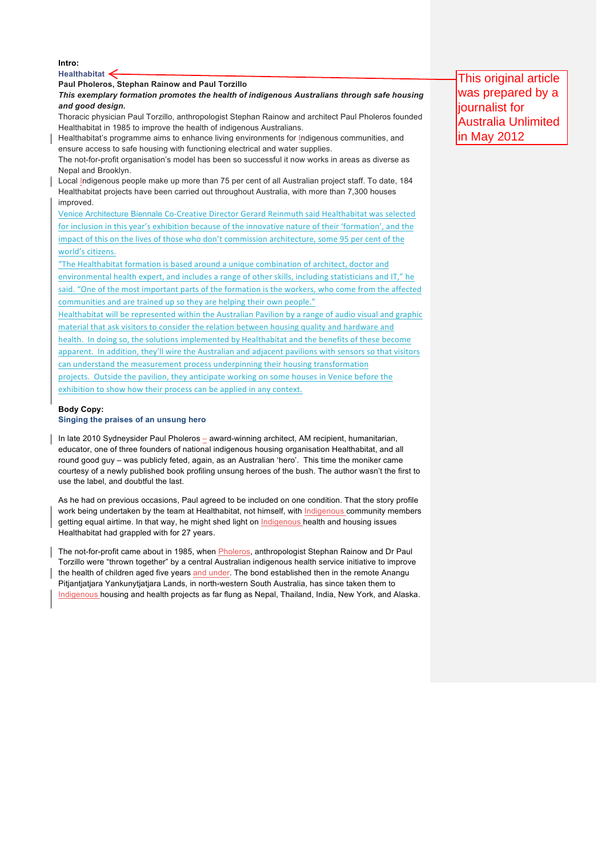**Intro:** 

**Healthabitat**

# **Paul Pholeros, Stephan Rainow and Paul Torzillo**

*This exemplary formation promotes the health of indigenous Australians through safe housing and good design.*

Thoracic physician Paul Torzillo, anthropologist Stephan Rainow and architect Paul Pholeros founded Healthabitat in 1985 to improve the health of indigenous Australians.

Healthabitat's programme aims to enhance living environments for Indigenous communities, and ensure access to safe housing with functioning electrical and water supplies.

The not-for-profit organisation's model has been so successful it now works in areas as diverse as Nepal and Brooklyn.

Local Indigenous people make up more than 75 per cent of all Australian project staff. To date, 184 Healthabitat projects have been carried out throughout Australia, with more than 7,300 houses improved.

Venice Architecture Biennale Co-Creative Director Gerard Reinmuth said Healthabitat was selected for inclusion in this year's exhibition because of the innovative nature of their 'formation', and the impact of this on the lives of those who don't commission architecture, some 95 per cent of the world's citizens.

"The Healthabitat formation is based around a unique combination of architect, doctor and environmental health expert, and includes a range of other skills, including statisticians and IT," he said. "One of the most important parts of the formation is the workers, who come from the affected communities and are trained up so they are helping their own people."

Healthabitat will be represented within the Australian Pavilion by a range of audio visual and graphic material that ask visitors to consider the relation between housing quality and hardware and health. In doing so, the solutions implemented by Healthabitat and the benefits of these become apparent. In addition, they'll wire the Australian and adjacent pavilions with sensors so that visitors can understand the measurement process underpinning their housing transformation projects. Outside the pavilion, they anticipate working on some houses in Venice before the exhibition to show how their process can be applied in any context.

**Body Copy:**

## **Singing the praises of an unsung hero**

In late 2010 Sydneysider Paul Pholeros - award-winning architect, AM recipient, humanitarian, educator, one of three founders of national indigenous housing organisation Healthabitat, and all round good guy – was publicly feted, again, as an Australian 'hero'. This time the moniker came courtesy of a newly published book profiling unsung heroes of the bush. The author wasn't the first to use the label, and doubtful the last.

As he had on previous occasions. Paul agreed to be included on one condition. That the story profile work being undertaken by the team at Healthabitat, not himself, with Indigenous community members getting equal airtime. In that way, he might shed light on Indigenous health and housing issues Healthabitat had grappled with for 27 years.

The not-for-profit came about in 1985, when Pholeros, anthropologist Stephan Rainow and Dr Paul Torzillo were "thrown together" by a central Australian indigenous health service initiative to improve the health of children aged five years and under. The bond established then in the remote Anangu Pitjantjatjara Yankunytjatjara Lands, in north-western South Australia, has since taken them to Indigenous housing and health projects as far flung as Nepal, Thailand, India, New York, and Alaska.

This original article was prepared by a liournalist for Australia Unlimited in May 2012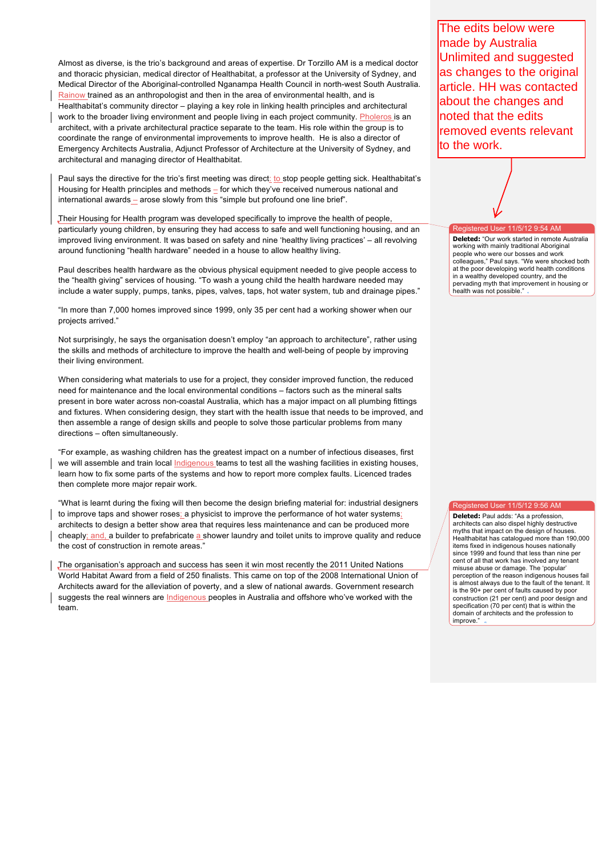Almost as diverse, is the trio's background and areas of expertise. Dr Torzillo AM is a medical doctor and thoracic physician, medical director of Healthabitat, a professor at the University of Sydney, and Medical Director of the Aboriginal-controlled Nganampa Health Council in north-west South Australia. Rainow trained as an anthropologist and then in the area of environmental health, and is

Healthabitat's community director – playing a key role in linking health principles and architectural work to the broader living environment and people living in each project community. Pholeros is an architect, with a private architectural practice separate to the team. His role within the group is to coordinate the range of environmental improvements to improve health. He is also a director of Emergency Architects Australia, Adjunct Professor of Architecture at the University of Sydney, and architectural and managing director of Healthabitat.

Paul says the directive for the trio's first meeting was direct: to stop people getting sick. Healthabitat's Housing for Health principles and methods - for which they've received numerous national and international awards – arose slowly from this "simple but profound one line brief".

Their Housing for Health program was developed specifically to improve the health of people, particularly young children, by ensuring they had access to safe and well functioning housing, and an improved living environment. It was based on safety and nine 'healthy living practices' – all revolving around functioning "health hardware" needed in a house to allow healthy living.

Paul describes health hardware as the obvious physical equipment needed to give people access to the "health giving" services of housing. "To wash a young child the health hardware needed may include a water supply, pumps, tanks, pipes, valves, taps, hot water system, tub and drainage pipes."

"In more than 7,000 homes improved since 1999, only 35 per cent had a working shower when our projects arrived."

Not surprisingly, he says the organisation doesn't employ "an approach to architecture", rather using the skills and methods of architecture to improve the health and well-being of people by improving their living environment.

When considering what materials to use for a project, they consider improved function, the reduced need for maintenance and the local environmental conditions – factors such as the mineral salts present in bore water across non-coastal Australia, which has a major impact on all plumbing fittings and fixtures. When considering design, they start with the health issue that needs to be improved, and then assemble a range of design skills and people to solve those particular problems from many directions – often simultaneously.

"For example, as washing children has the greatest impact on a number of infectious diseases, first we will assemble and train local Indigenous teams to test all the washing facilities in existing houses, learn how to fix some parts of the systems and how to report more complex faults. Licenced trades then complete more major repair work.

"What is learnt during the fixing will then become the design briefing material for: industrial designers to improve taps and shower roses; a physicist to improve the performance of hot water systems; architects to design a better show area that requires less maintenance and can be produced more cheaply; and, a builder to prefabricate a shower laundry and toilet units to improve quality and reduce the cost of construction in remote areas."

The organisation's approach and success has seen it win most recently the 2011 United Nations World Habitat Award from a field of 250 finalists. This came on top of the 2008 International Union of Architects award for the alleviation of poverty, and a slew of national awards. Government research suggests the real winners are Indigenous peoples in Australia and offshore who've worked with the team.

The edits below were made by Australia Unlimited and suggested as changes to the original article. HH was contacted about the changes and noted that the edits removed events relevant to the work.

#### User 11/5/12 9:54

**Deleted:** "Our work started in remote Australia working with mainly traditional Aboriginal people who were our bosses and work colleagues," Paul says. "We were shocked both at the poor developing world health conditions in a wealthy developed country, and the pervading myth that improvement in housing or health was not possible."

### stered User  $11/5/12$  9:56 AM

**Deleted:** Paul adds: "As a profession, architects can also dispel highly destructive myths that impact on the design of houses. Healthabitat has catalogued more than 190,000 items fixed in indigenous houses nationally since 1999 and found that less than nine per cent of all that work has involved any tenant misuse abuse or damage. The 'popular' perception of the reason indigenous houses fail is almost always due to the fault of the tenant. It is the 90+ per cent of faults caused by poor construction (21 per cent) and poor design and specification (70 per cent) that is within the domain of architects and the profession to improve